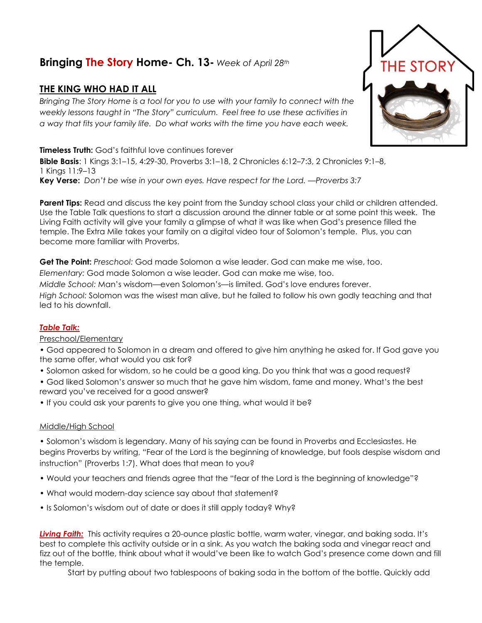# **Bringing The Story Home- Ch. 13-** *Week of April 28th*

## **THE KING WHO HAD IT ALL**

*Bringing The Story Home is a tool for you to use with your family to connect with the weekly lessons taught in "The Story" curriculum. Feel free to use these activities in a way that fits your family life. Do what works with the time you have each week.* 

#### **Timeless Truth:** God's faithful love continues forever

**Bible Basis**: 1 Kings 3:1–15, 4:29-30, Proverbs 3:1–18, 2 Chronicles 6:12–7:3, 2 Chronicles 9:1–8, 1 Kings 11:9–13 **Key Verse:** *Don't be wise in your own eyes. Have respect for the Lord. —Proverbs 3:*7

**Parent Tips:** Read and discuss the key point from the Sunday school class your child or children attended. Use the Table Talk questions to start a discussion around the dinner table or at some point this week. The Living Faith activity will give your family a glimpse of what it was like when God's presence filled the temple. The Extra Mile takes your family on a digital video tour of Solomon's temple. Plus, you can become more familiar with Proverbs.

**Get The Point:** *Preschool:* God made Solomon a wise leader. God can make me wise, too.

*Elementary:* God made Solomon a wise leader. God can make me wise, too.

*Middle School:* Man's wisdom—even Solomon's—is limited. God's love endures forever.

*High School:* Solomon was the wisest man alive, but he failed to follow his own godly teaching and that led to his downfall.

### *Table Talk:*

### Preschool/Elementary

- God appeared to Solomon in a dream and offered to give him anything he asked for. If God gave you the same offer, what would you ask for?
- Solomon asked for wisdom, so he could be a good king. Do you think that was a good request?
- God liked Solomon's answer so much that he gave him wisdom, fame and money. What's the best reward you've received for a good answer?
- If you could ask your parents to give you one thing, what would it be?

### Middle/High School

• Solomon's wisdom is legendary. Many of his saying can be found in Proverbs and Ecclesiastes. He begins Proverbs by writing, "Fear of the Lord is the beginning of knowledge, but fools despise wisdom and instruction" (Proverbs 1:7). What does that mean to you?

- Would your teachers and friends agree that the "fear of the Lord is the beginning of knowledge"?
- What would modern-day science say about that statement?
- Is Solomon's wisdom out of date or does it still apply today? Why?

*Living Faith:* This activity requires a 20-ounce plastic bottle, warm water, vinegar, and baking soda. It's best to complete this activity outside or in a sink. As you watch the baking soda and vinegar react and fizz out of the bottle, think about what it would've been like to watch God's presence come down and fill the temple.

Start by putting about two tablespoons of baking soda in the bottom of the bottle. Quickly add